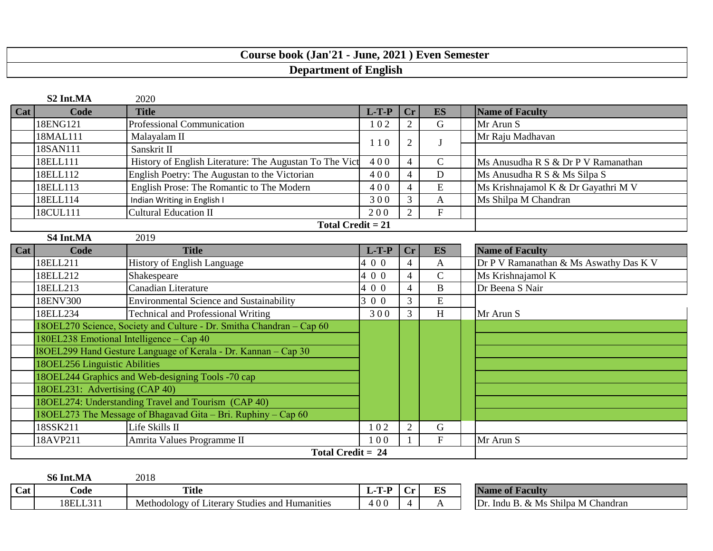## **Course book (Jan'21 - June, 2021 ) Even Semester Department of English**

|     | S2 Int.MA<br>2020                                                    |                                                               |         |                |                |                                        |  |
|-----|----------------------------------------------------------------------|---------------------------------------------------------------|---------|----------------|----------------|----------------------------------------|--|
| Cat | Code                                                                 | <b>Title</b>                                                  | $L-T-P$ | <b>Cr</b>      | <b>ES</b>      | <b>Name of Faculty</b>                 |  |
|     | 18ENG121                                                             | <b>Professional Communication</b>                             | 102     | 2              | G              | Mr Arun S                              |  |
|     | 18MAL111                                                             | Malayalam II                                                  | 110     | $\overline{2}$ | J              | Mr Raju Madhavan                       |  |
|     | 18SAN111                                                             | Sanskrit II                                                   |         |                |                |                                        |  |
|     | 18ELL111                                                             | History of English Literature: The Augustan To The Vict       | 400     | $\overline{4}$ | $\mathsf{C}$   | Ms Anusudha R S & Dr P V Ramanathan    |  |
|     | 18ELL112                                                             | English Poetry: The Augustan to the Victorian                 | 400     | $\overline{4}$ | D              | Ms Anusudha R S & Ms Silpa S           |  |
|     | 18ELL113                                                             | English Prose: The Romantic to The Modern                     | 400     | $\overline{4}$ | E              | Ms Krishnajamol K & Dr Gayathri M V    |  |
|     | 18ELL114                                                             | Indian Writing in English I                                   | 300     | $\overline{3}$ | A              | Ms Shilpa M Chandran                   |  |
|     | 18CUL111                                                             | <b>Cultural Education II</b>                                  | 200     | $\overline{2}$ | $\mathbf{F}$   |                                        |  |
|     |                                                                      | Total Credit $= 21$                                           |         |                |                |                                        |  |
|     | S4 Int.MA                                                            | 2019                                                          |         |                |                |                                        |  |
| Cat | Code                                                                 | <b>Title</b>                                                  | $L-T-P$ | <b>Cr</b>      | <b>ES</b>      | <b>Name of Faculty</b>                 |  |
|     | 18ELL211                                                             | History of English Language                                   | 400     | $\overline{4}$ | $\overline{A}$ | Dr P V Ramanathan & Ms Aswathy Das K V |  |
|     | 18ELL212                                                             | Shakespeare                                                   | 400     | $\overline{4}$ | $\overline{C}$ | Ms Krishnajamol K                      |  |
|     | 18ELL213                                                             | Canadian Literature                                           | 400     | $\overline{4}$ | $\bf{B}$       | Dr Beena S Nair                        |  |
|     | 18ENV300                                                             | <b>Environmental Science and Sustainability</b>               | 3 0 0   | $\overline{3}$ | E              |                                        |  |
|     | 18ELL234                                                             | <b>Technical and Professional Writing</b>                     | 300     | $\overline{3}$ | H              | Mr Arun S                              |  |
|     | 18OEL270 Science, Society and Culture - Dr. Smitha Chandran - Cap 60 |                                                               |         |                |                |                                        |  |
|     | 180EL238 Emotional Intelligence – Cap 40                             |                                                               |         |                |                |                                        |  |
|     | 18OEL299 Hand Gesture Language of Kerala - Dr. Kannan - Cap 30       |                                                               |         |                |                |                                        |  |
|     | 18OEL256 Linguistic Abilities                                        |                                                               |         |                |                |                                        |  |
|     | 18OEL244 Graphics and Web-designing Tools -70 cap                    |                                                               |         |                |                |                                        |  |
|     | 180EL231: Advertising (CAP 40)                                       |                                                               |         |                |                |                                        |  |
|     |                                                                      | 18OEL274: Understanding Travel and Tourism (CAP 40)           |         |                |                |                                        |  |
|     |                                                                      | 18OEL273 The Message of Bhagavad Gita – Bri. Ruphiny – Cap 60 |         |                |                |                                        |  |
|     | 18SSK211                                                             | Life Skills II                                                | 102     | $\overline{2}$ | $\mathbf G$    |                                        |  |
|     | 18AVP211                                                             | Amrita Values Programme II                                    | 100     |                | $\mathbf{F}$   | Mr Arun S                              |  |
|     | Total Credit = $24$                                                  |                                                               |         |                |                |                                        |  |

|     | S6 In<br>Int.MA | 2018                                                              |              |   |    |                                                 |
|-----|-----------------|-------------------------------------------------------------------|--------------|---|----|-------------------------------------------------|
| Cat | ∠ode            | <b>Title</b>                                                      | -Т-Р<br>L-1. |   | ES | Name of<br>Facultv                              |
|     | 18ELL31         | Studies<br>and<br>Methodology<br>Humanities<br>∟iterary ∶<br>- OI | 400          | ⊶ |    | Ms Shilpa M Chandran<br>Dr<br>. &<br>Indu<br>D. |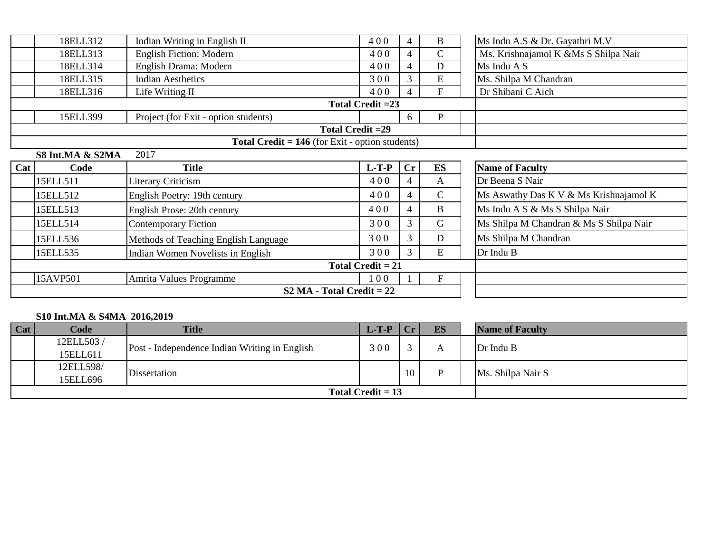|     | 18ELL312          | Indian Writing in English II                           | 400                 | 4              | $\, {\bf B}$              | Ms Indu A.S & Dr. Gayathri M.V          |
|-----|-------------------|--------------------------------------------------------|---------------------|----------------|---------------------------|-----------------------------------------|
|     | 18ELL313          | English Fiction: Modern                                | 400                 | 4              | $\mathcal{C}$             | Ms. Krishnajamol K &Ms S Shilpa Nair    |
|     | 18ELL314          | English Drama: Modern                                  | 400                 | $\overline{4}$ | D                         | Ms Indu A S                             |
|     | 18ELL315          | <b>Indian Aesthetics</b>                               | 300                 | 3              | ${\bf E}$                 | Ms. Shilpa M Chandran                   |
|     | 18ELL316          | Life Writing II                                        | 400                 | 4              | $\mathbf{F}$              | Dr Shibani C Aich                       |
|     | Total Credit = 23 |                                                        |                     |                |                           |                                         |
|     | 15ELL399          | Project (for Exit - option students)                   |                     | 6              | P                         |                                         |
|     |                   |                                                        | Total Credit = 29   |                |                           |                                         |
|     |                   | <b>Total Credit = 146</b> (for Exit - option students) |                     |                |                           |                                         |
|     | S8 Int.MA & S2MA  | 2017                                                   |                     |                |                           |                                         |
| Cat | Code              | <b>Title</b>                                           | $L-T-P$             | $\mathbf{C}$ r | ES                        | <b>Name of Faculty</b>                  |
|     |                   |                                                        |                     |                |                           |                                         |
|     | 15ELL511          | Literary Criticism                                     | 400                 | 4              | $\mathbf{A}$              | Dr Beena S Nair                         |
|     | 15ELL512          | English Poetry: 19th century                           | 400                 | 4              | $\mathsf{C}$              | Ms Aswathy Das K V & Ms Krishnajamol K  |
|     | 15ELL513          | English Prose: 20th century                            | 400                 | 4              | $\bf{B}$                  | Ms Indu A S & Ms S Shilpa Nair          |
|     | 15ELL514          | <b>Contemporary Fiction</b>                            | 300                 | 3              | $\mathbf G$               | Ms Shilpa M Chandran & Ms S Shilpa Nair |
|     | 15ELL536          | Methods of Teaching English Language                   | 300                 | 3              | D                         | Ms Shilpa M Chandran                    |
|     | 15ELL535          | Indian Women Novelists in English                      | 300                 | 3              | E                         | Dr Indu B                               |
|     |                   |                                                        | Total Credit $= 21$ |                |                           |                                         |
|     | 15AVP501          | Amrita Values Programme                                | 100                 |                | $\boldsymbol{\mathrm{F}}$ |                                         |

## **S10 Int.MA & S4MA 2016,2019**

| Cat | Code      | <b>Title</b>                                  | $L-T-P$ | Cr     | <b>ES</b> | <b>Name of Faculty</b> |
|-----|-----------|-----------------------------------------------|---------|--------|-----------|------------------------|
|     | 12ELL503/ |                                               | 300     | $\sim$ |           | Dr Indu B              |
|     | 15ELL611  | Post - Independence Indian Writing in English |         |        |           |                        |
|     | 12ELL598/ | Dissertation                                  |         | 10     |           | Ms. Shilpa Nair S      |
|     | 15ELL696  |                                               |         |        |           |                        |
|     |           | Total Credit $= 13$                           |         |        |           |                        |